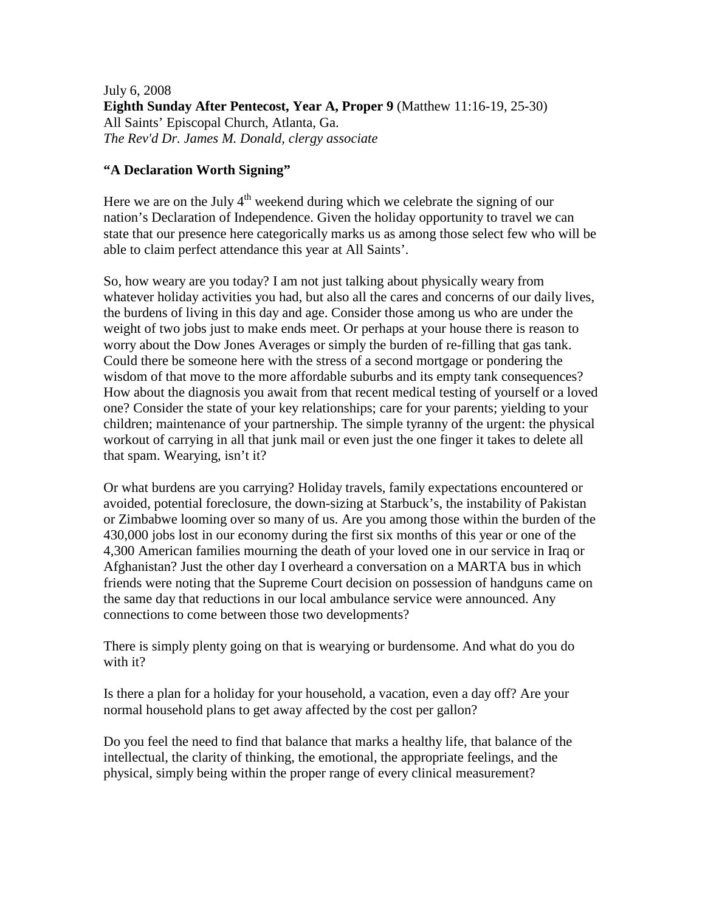July 6, 2008 **Eighth Sunday After Pentecost, Year A, Proper 9** (Matthew 11:16-19, 25-30) All Saints' Episcopal Church, Atlanta, Ga. *The Rev'd Dr. James M. Donald, clergy associate* 

## **"A Declaration Worth Signing"**

Here we are on the July  $4<sup>th</sup>$  weekend during which we celebrate the signing of our nation's Declaration of Independence. Given the holiday opportunity to travel we can state that our presence here categorically marks us as among those select few who will be able to claim perfect attendance this year at All Saints'.

So, how weary are you today? I am not just talking about physically weary from whatever holiday activities you had, but also all the cares and concerns of our daily lives, the burdens of living in this day and age. Consider those among us who are under the weight of two jobs just to make ends meet. Or perhaps at your house there is reason to worry about the Dow Jones Averages or simply the burden of re-filling that gas tank. Could there be someone here with the stress of a second mortgage or pondering the wisdom of that move to the more affordable suburbs and its empty tank consequences? How about the diagnosis you await from that recent medical testing of yourself or a loved one? Consider the state of your key relationships; care for your parents; yielding to your children; maintenance of your partnership. The simple tyranny of the urgent: the physical workout of carrying in all that junk mail or even just the one finger it takes to delete all that spam. Wearying, isn't it?

Or what burdens are you carrying? Holiday travels, family expectations encountered or avoided, potential foreclosure, the down-sizing at Starbuck's, the instability of Pakistan or Zimbabwe looming over so many of us. Are you among those within the burden of the 430,000 jobs lost in our economy during the first six months of this year or one of the 4,300 American families mourning the death of your loved one in our service in Iraq or Afghanistan? Just the other day I overheard a conversation on a MARTA bus in which friends were noting that the Supreme Court decision on possession of handguns came on the same day that reductions in our local ambulance service were announced. Any connections to come between those two developments?

There is simply plenty going on that is wearying or burdensome. And what do you do with it?

Is there a plan for a holiday for your household, a vacation, even a day off? Are your normal household plans to get away affected by the cost per gallon?

Do you feel the need to find that balance that marks a healthy life, that balance of the intellectual, the clarity of thinking, the emotional, the appropriate feelings, and the physical, simply being within the proper range of every clinical measurement?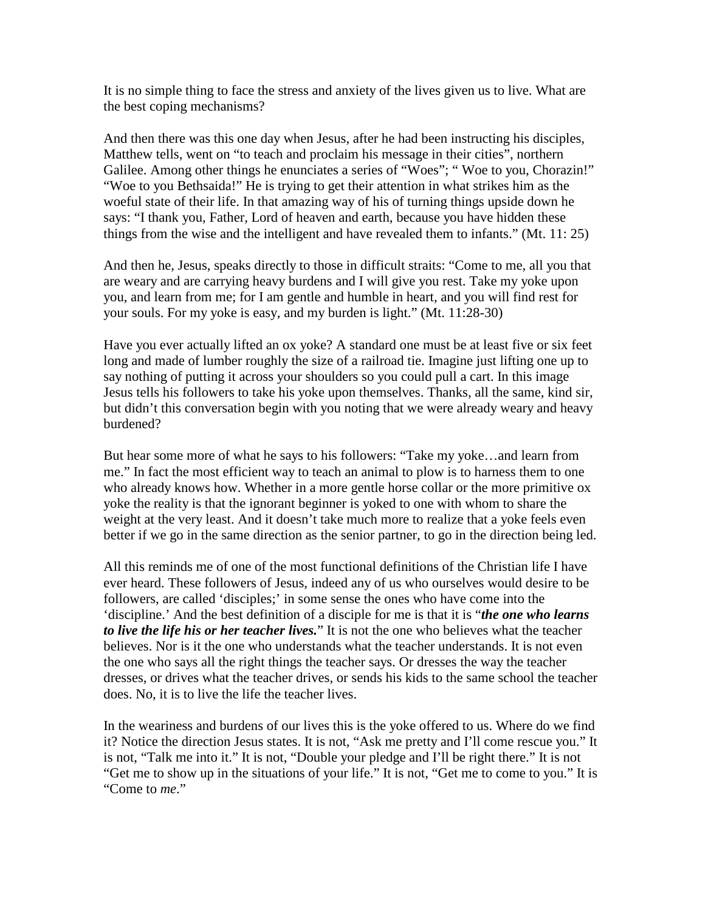It is no simple thing to face the stress and anxiety of the lives given us to live. What are the best coping mechanisms?

And then there was this one day when Jesus, after he had been instructing his disciples, Matthew tells, went on "to teach and proclaim his message in their cities", northern Galilee. Among other things he enunciates a series of "Woes"; " Woe to you, Chorazin!" "Woe to you Bethsaida!" He is trying to get their attention in what strikes him as the woeful state of their life. In that amazing way of his of turning things upside down he says: "I thank you, Father, Lord of heaven and earth, because you have hidden these things from the wise and the intelligent and have revealed them to infants." (Mt. 11: 25)

And then he, Jesus, speaks directly to those in difficult straits: "Come to me, all you that are weary and are carrying heavy burdens and I will give you rest. Take my yoke upon you, and learn from me; for I am gentle and humble in heart, and you will find rest for your souls. For my yoke is easy, and my burden is light." (Mt. 11:28-30)

Have you ever actually lifted an ox yoke? A standard one must be at least five or six feet long and made of lumber roughly the size of a railroad tie. Imagine just lifting one up to say nothing of putting it across your shoulders so you could pull a cart. In this image Jesus tells his followers to take his yoke upon themselves. Thanks, all the same, kind sir, but didn't this conversation begin with you noting that we were already weary and heavy burdened?

But hear some more of what he says to his followers: "Take my yoke…and learn from me." In fact the most efficient way to teach an animal to plow is to harness them to one who already knows how. Whether in a more gentle horse collar or the more primitive ox yoke the reality is that the ignorant beginner is yoked to one with whom to share the weight at the very least. And it doesn't take much more to realize that a yoke feels even better if we go in the same direction as the senior partner, to go in the direction being led.

All this reminds me of one of the most functional definitions of the Christian life I have ever heard. These followers of Jesus, indeed any of us who ourselves would desire to be followers, are called 'disciples;' in some sense the ones who have come into the 'discipline.' And the best definition of a disciple for me is that it is "*the one who learns to live the life his or her teacher lives.*" It is not the one who believes what the teacher believes. Nor is it the one who understands what the teacher understands. It is not even the one who says all the right things the teacher says. Or dresses the way the teacher dresses, or drives what the teacher drives, or sends his kids to the same school the teacher does. No, it is to live the life the teacher lives.

In the weariness and burdens of our lives this is the yoke offered to us. Where do we find it? Notice the direction Jesus states. It is not, "Ask me pretty and I'll come rescue you." It is not, "Talk me into it." It is not, "Double your pledge and I'll be right there." It is not "Get me to show up in the situations of your life." It is not, "Get me to come to you." It is "Come to *me*."